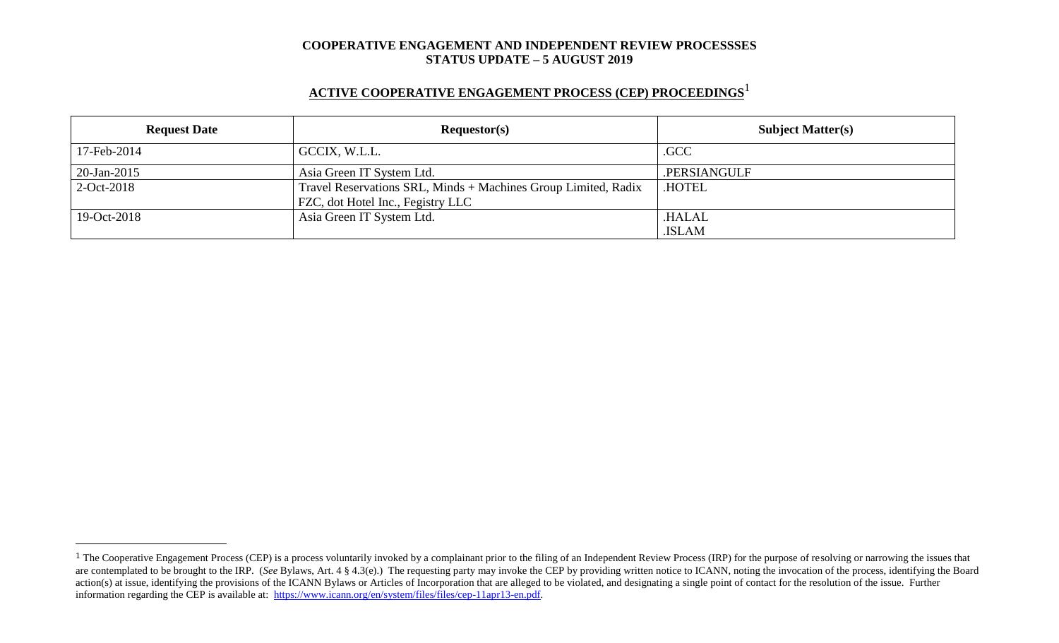# **ACTIVE COOPERATIVE ENGAGEMENT PROCESS (CEP) PROCEEDINGS** 1

| <b>Request Date</b> | Requestor(s)                                                                                        | <b>Subject Matter(s)</b> |  |
|---------------------|-----------------------------------------------------------------------------------------------------|--------------------------|--|
| 17-Feb-2014         | GCCIX, W.L.L.                                                                                       | .GCC                     |  |
| $20$ -Jan-2015      | Asia Green IT System Ltd.                                                                           | .PERSIANGULF             |  |
| $2-Oct-2018$        | Travel Reservations SRL, Minds + Machines Group Limited, Radix<br>FZC, dot Hotel Inc., Fegistry LLC | <b>HOTEL</b>             |  |
| 19-Oct-2018         | Asia Green IT System Ltd.                                                                           | .HALAL<br>.ISLAM         |  |

 $\overline{a}$ 

<sup>&</sup>lt;sup>1</sup> The Cooperative Engagement Process (CEP) is a process voluntarily invoked by a complainant prior to the filing of an Independent Review Process (IRP) for the purpose of resolving or narrowing the issues that are contemplated to be brought to the IRP. (*See* Bylaws, Art. 4 § 4.3(e).) The requesting party may invoke the CEP by providing written notice to ICANN, noting the invocation of the process, identifying the Board action(s) at issue, identifying the provisions of the ICANN Bylaws or Articles of Incorporation that are alleged to be violated, and designating a single point of contact for the resolution of the issue. Further information regarding the CEP is available at: [https://www.icann.org/en/system/files/files/cep-11apr13-en.pdf.](https://www.icann.org/en/system/files/files/cep-11apr13-en.pdf)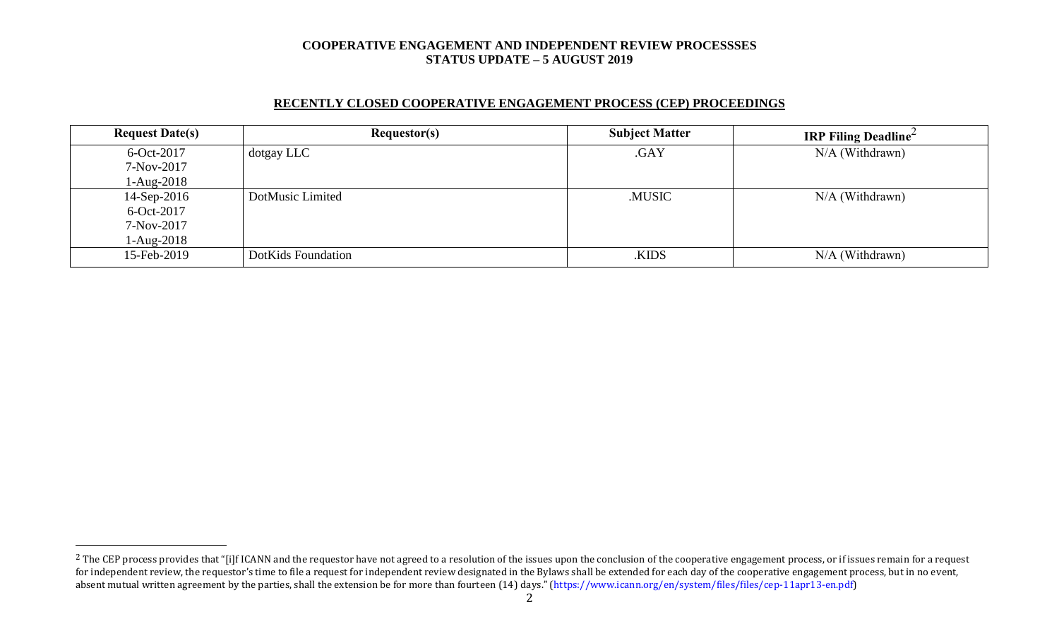## **RECENTLY CLOSED COOPERATIVE ENGAGEMENT PROCESS (CEP) PROCEEDINGS**

| <b>Request Date(s)</b> | <b>Requestor(s)</b> | <b>Subject Matter</b> | <b>IRP Filing Deadline</b> |
|------------------------|---------------------|-----------------------|----------------------------|
| 6-Oct-2017             | dotgay LLC          | .GAY                  | N/A (Withdrawn)            |
| 7-Nov-2017             |                     |                       |                            |
| $1-Aug-2018$           |                     |                       |                            |
| $14-Sep-2016$          | DotMusic Limited    | .MUSIC                | $N/A$ (Withdrawn)          |
| 6-Oct-2017             |                     |                       |                            |
| 7-Nov-2017             |                     |                       |                            |
| $1-Aug-2018$           |                     |                       |                            |
| 15-Feb-2019            | DotKids Foundation  | .KIDS                 | $N/A$ (Withdrawn)          |

 $\overline{a}$ 

<sup>&</sup>lt;sup>2</sup> The CEP process provides that "[i]f ICANN and the requestor have not agreed to a resolution of the issues upon the conclusion of the cooperative engagement process, or if issues remain for a request for independent review, the requestor's time to file a request for independent review designated in the Bylaws shall be extended for each day of the cooperative engagement process, but in no event, absent mutual written agreement by the parties, shall the extension be for more than fourteen (14) days." (https://www.icann.org/en/system/files/files/cep-11apr13-en.pdf)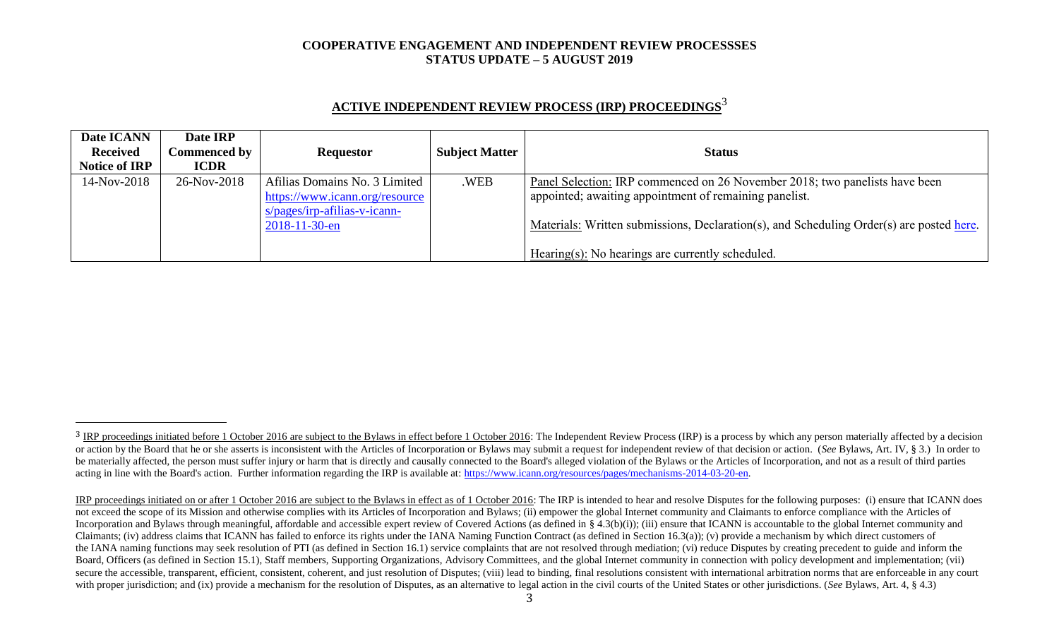| Date ICANN           | Date IRP            |                                |                       |                                                                                          |
|----------------------|---------------------|--------------------------------|-----------------------|------------------------------------------------------------------------------------------|
| <b>Received</b>      | <b>Commenced by</b> | <b>Requestor</b>               | <b>Subject Matter</b> | <b>Status</b>                                                                            |
| <b>Notice of IRP</b> | <b>ICDR</b>         |                                |                       |                                                                                          |
| 14-Nov-2018          | 26-Nov-2018         | Afilias Domains No. 3 Limited  | .WEB                  | Panel Selection: IRP commenced on 26 November 2018; two panelists have been              |
|                      |                     | https://www.icann.org/resource |                       | appointed; awaiting appointment of remaining panelist.                                   |
|                      |                     | $s/pages/irp-afilias-v-icann-$ |                       |                                                                                          |
|                      |                     | $2018 - 11 - 30 - en$          |                       | Materials: Written submissions, Declaration(s), and Scheduling Order(s) are posted here. |
|                      |                     |                                |                       |                                                                                          |
|                      |                     |                                |                       | Hearing(s): No hearings are currently scheduled.                                         |

# **ACTIVE INDEPENDENT REVIEW PROCESS (IRP) PROCEEDINGS** 3

l

<sup>&</sup>lt;sup>3</sup> IRP proceedings initiated before 1 October 2016 are subject to the Bylaws in effect before 1 October 2016: The Independent Review Process (IRP) is a process by which any person materially affected by a decision or action by the Board that he or she asserts is inconsistent with the Articles of Incorporation or Bylaws may submit a request for independent review of that decision or action. (See Bylaws, Art. IV, § 3.) In order to be materially affected, the person must suffer injury or harm that is directly and causally connected to the Board's alleged violation of the Bylaws or the Articles of Incorporation, and not as a result of third parties acting in line with the Board's action. Further information regarding the IRP is available at: [https://www.icann.org/resources/pages/mechanisms-2014-03-20-en.](https://www.icann.org/resources/pages/mechanisms-2014-03-20-en)

IRP proceedings initiated on or after 1 October 2016 are subject to the Bylaws in effect as of 1 October 2016: The IRP is intended to hear and resolve Disputes for the following purposes: (i) ensure that ICANN does not exceed the scope of its Mission and otherwise complies with its Articles of Incorporation and Bylaws; (ii) empower the global Internet community and Claimants to enforce compliance with the Articles of Incorporation and Bylaws through meaningful, affordable and accessible expert review of Covered Actions (as defined in § 4.3(b)(i)); (iii) ensure that ICANN is accountable to the global Internet community and Claimants; (iv) address claims that ICANN has failed to enforce its rights under the IANA Naming Function Contract (as defined in Section 16.3(a)); (v) provide a mechanism by which direct customers of the IANA naming functions may seek resolution of PTI (as defined in Section 16.1) service complaints that are not resolved through mediation; (vi) reduce Disputes by creating precedent to guide and inform the Board, Officers (as defined in Section 15.1), Staff members, Supporting Organizations, Advisory Committees, and the global Internet community in connection with policy development and implementation; (vii) secure the accessible, transparent, efficient, consistent, coherent, and just resolution of Disputes; (viii) lead to binding, final resolutions consistent with international arbitration norms that are enforceable in any co with proper jurisdiction; and (ix) provide a mechanism for the resolution of Disputes, as an alternative to legal action in the civil courts of the United States or other jurisdictions. (*See* Bylaws, Art. 4, § 4.3)